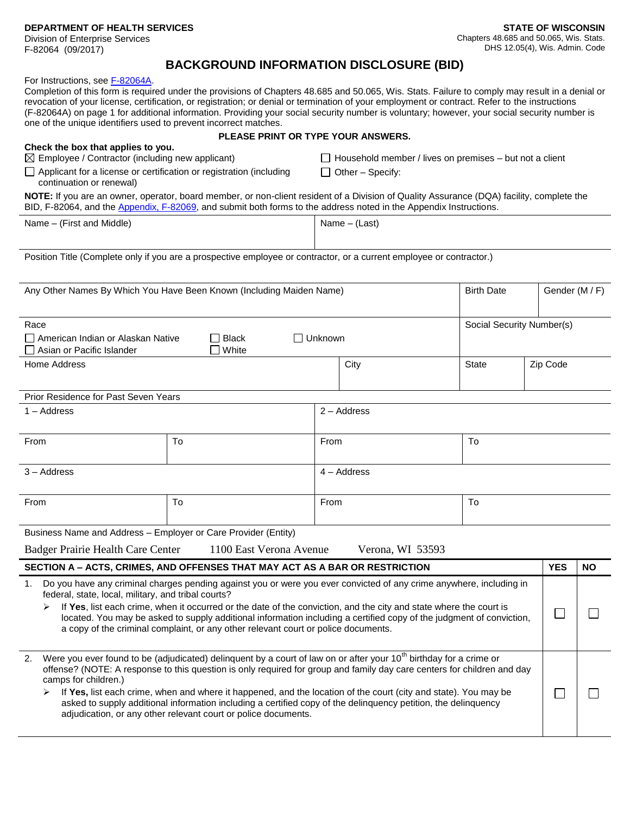**DEPARTMENT OF HEALTH SERVICES**

Division of Enterprise Services F-82064 (09/2017)

П

 $\Box$ 

## **BACKGROUND INFORMATION DISCLOSURE (BID)**

For Instructions, see [F-82064A.](http://www.dhs.wisconsin.gov/forms/F8/F82064A.pdf)

Completion of this form is required under the provisions of Chapters 48.685 and 50.065, Wis. Stats. Failure to comply may result in a denial or revocation of your license, certification, or registration; or denial or termination of your employment or contract. Refer to the instructions (F-82064A) on page 1 for additional information. Providing your social security number is voluntary; however, your social security number is one of the unique identifiers used to prevent incorrect matches.

## **Check the box that applies to you.**

## **PLEASE PRINT OR TYPE YOUR ANSWERS.**

 $\boxtimes$  Employee / Contractor (including new applicant)

 $\Box$  Household member / lives on premises – but not a client

 $\Box$  Applicant for a license or certification or registration (including continuation or renewal)

 $\Box$  Other – Specify:

**NOTE:** If you are an owner, operator, board member, or non-client resident of a Division of Quality Assurance (DQA) facility, complete the BID, F-82064, and the [Appendix, F-82069,](http://www.dhs.wisconsin.gov/forms/F8/F82069.docx) and submit both forms to the address noted in the Appendix Instructions.

|  | Name - (First and Middle) |  |
|--|---------------------------|--|
|--|---------------------------|--|

 $Name - (Last)$ 

Position Title (Complete only if you are a prospective employee or contractor, or a current employee or contractor.)

| Any Other Names By Which You Have Been Known (Including Maiden Name)                                                                                                                                                                                                                                                                                                                                                                                                                                                             |                                                                                                                                                                                                                                                    |                |                  | <b>Birth Date</b>         |            | Gender (M / F) |  |
|----------------------------------------------------------------------------------------------------------------------------------------------------------------------------------------------------------------------------------------------------------------------------------------------------------------------------------------------------------------------------------------------------------------------------------------------------------------------------------------------------------------------------------|----------------------------------------------------------------------------------------------------------------------------------------------------------------------------------------------------------------------------------------------------|----------------|------------------|---------------------------|------------|----------------|--|
| Race<br>□ American Indian or Alaskan Native<br>Asian or Pacific Islander                                                                                                                                                                                                                                                                                                                                                                                                                                                         | <b>Black</b><br>White                                                                                                                                                                                                                              | $\Box$ Unknown |                  | Social Security Number(s) |            |                |  |
| Home Address                                                                                                                                                                                                                                                                                                                                                                                                                                                                                                                     |                                                                                                                                                                                                                                                    |                | City             | <b>State</b>              | Zip Code   |                |  |
| Prior Residence for Past Seven Years                                                                                                                                                                                                                                                                                                                                                                                                                                                                                             |                                                                                                                                                                                                                                                    |                |                  |                           |            |                |  |
| $1 -$ Address                                                                                                                                                                                                                                                                                                                                                                                                                                                                                                                    |                                                                                                                                                                                                                                                    | $2 -$ Address  |                  |                           |            |                |  |
| From                                                                                                                                                                                                                                                                                                                                                                                                                                                                                                                             | To                                                                                                                                                                                                                                                 | From           |                  | To                        |            |                |  |
| $3 -$ Address                                                                                                                                                                                                                                                                                                                                                                                                                                                                                                                    |                                                                                                                                                                                                                                                    | $4 - Address$  |                  |                           |            |                |  |
| From                                                                                                                                                                                                                                                                                                                                                                                                                                                                                                                             | To                                                                                                                                                                                                                                                 | To<br>From     |                  |                           |            |                |  |
| Business Name and Address - Employer or Care Provider (Entity)                                                                                                                                                                                                                                                                                                                                                                                                                                                                   |                                                                                                                                                                                                                                                    |                |                  |                           |            |                |  |
| Badger Prairie Health Care Center                                                                                                                                                                                                                                                                                                                                                                                                                                                                                                | 1100 East Verona Avenue                                                                                                                                                                                                                            |                | Verona, WI 53593 |                           |            |                |  |
| SECTION A - ACTS, CRIMES, AND OFFENSES THAT MAY ACT AS A BAR OR RESTRICTION                                                                                                                                                                                                                                                                                                                                                                                                                                                      |                                                                                                                                                                                                                                                    |                |                  |                           | <b>YES</b> | <b>NO</b>      |  |
| Do you have any criminal charges pending against you or were you ever convicted of any crime anywhere, including in<br>1 <sub>1</sub><br>federal, state, local, military, and tribal courts?<br>If Yes, list each crime, when it occurred or the date of the conviction, and the city and state where the court is<br>located. You may be asked to supply additional information including a certified copy of the judgment of conviction,<br>a copy of the criminal complaint, or any other relevant court or police documents. |                                                                                                                                                                                                                                                    |                |                  |                           |            |                |  |
| 2.<br>camps for children.)                                                                                                                                                                                                                                                                                                                                                                                                                                                                                                       | Were you ever found to be (adjudicated) delinguent by a court of law on or after your $10^{th}$ birthday for a crime or<br>offense? (NOTE: A response to this question is only required for group and family day care centers for children and day |                |                  |                           |            |                |  |

 $\triangleright$  If **Yes**, list each crime, when and where it happened, and the location of the court (city and state). You may be asked to supply additional information including a certified copy of the delinquency petition, the delinquency adjudication, or any other relevant court or police documents.